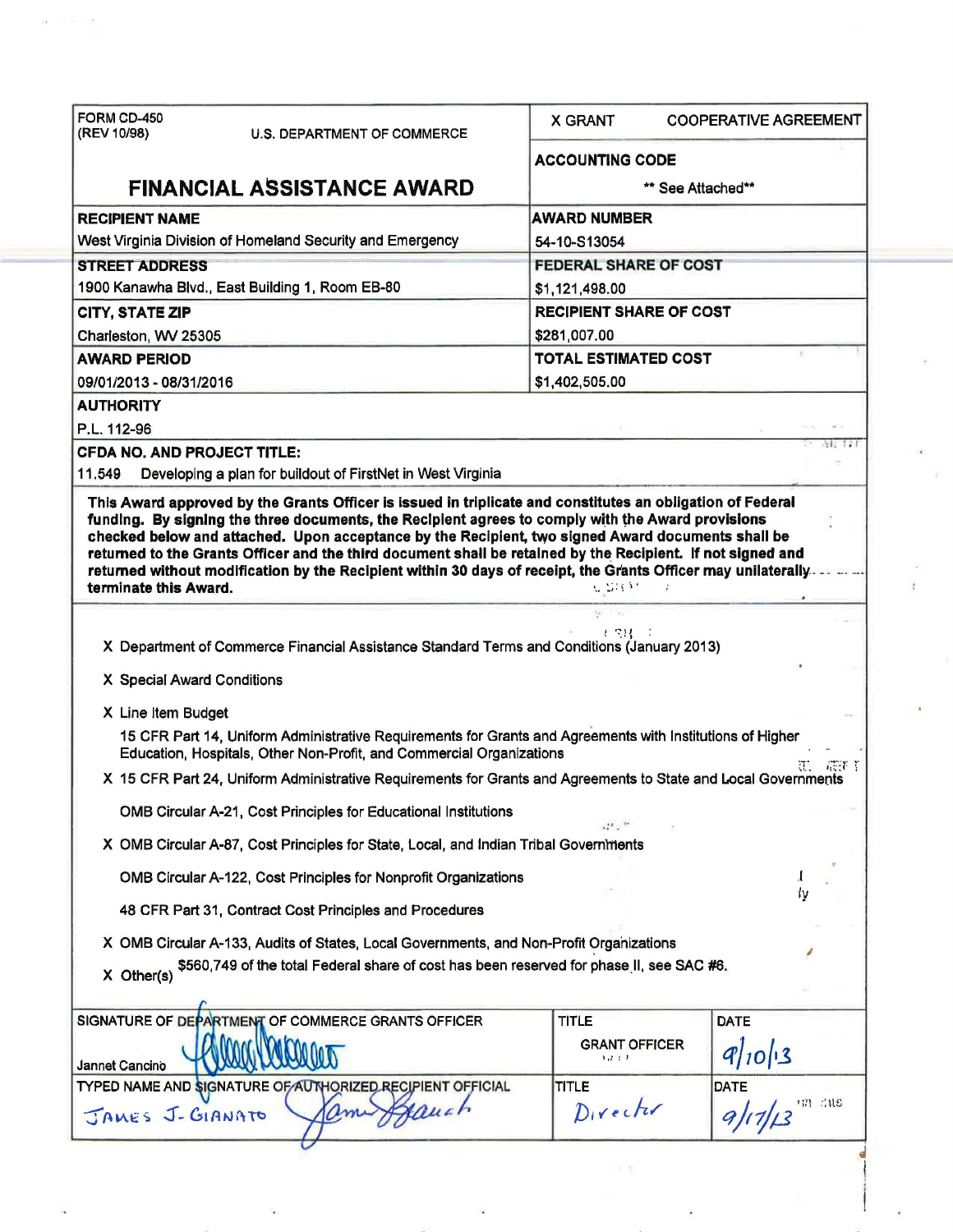| FORM CD-450<br>(REV 10/98)         | <b>U.S. DEPARTMENT OF COMMERCE</b>                                                                                                                                                                                                                                                                                                 | <b>X GRANT</b>                 | <b>COOPERATIVE AGREEMENT</b> |  |
|------------------------------------|------------------------------------------------------------------------------------------------------------------------------------------------------------------------------------------------------------------------------------------------------------------------------------------------------------------------------------|--------------------------------|------------------------------|--|
|                                    |                                                                                                                                                                                                                                                                                                                                    | <b>ACCOUNTING CODE</b>         |                              |  |
|                                    | <b>FINANCIAL ASSISTANCE AWARD</b>                                                                                                                                                                                                                                                                                                  |                                | ** See Attached**            |  |
| <b>RECIPIENT NAME</b>              |                                                                                                                                                                                                                                                                                                                                    | <b>AWARD NUMBER</b>            |                              |  |
|                                    | West Virginia Division of Homeland Security and Emergency                                                                                                                                                                                                                                                                          | 54-10-S13054                   |                              |  |
| <b>STREET ADDRESS</b>              |                                                                                                                                                                                                                                                                                                                                    | <b>FEDERAL SHARE OF COST</b>   |                              |  |
|                                    | 1900 Kanawha Blvd., East Building 1, Room EB-80                                                                                                                                                                                                                                                                                    | \$1,121,498.00                 |                              |  |
| <b>CITY, STATE ZIP</b>             |                                                                                                                                                                                                                                                                                                                                    | <b>RECIPIENT SHARE OF COST</b> |                              |  |
| Charleston, WV 25305               |                                                                                                                                                                                                                                                                                                                                    | \$281,007.00                   |                              |  |
| <b>AWARD PERIOD</b>                |                                                                                                                                                                                                                                                                                                                                    | <b>TOTAL ESTIMATED COST</b>    |                              |  |
| 09/01/2013 - 08/31/2016            |                                                                                                                                                                                                                                                                                                                                    | \$1,402,505.00                 |                              |  |
| <b>AUTHORITY</b>                   |                                                                                                                                                                                                                                                                                                                                    |                                |                              |  |
| P.L. 112-96                        |                                                                                                                                                                                                                                                                                                                                    |                                |                              |  |
| <b>CFDA NO. AND PROJECT TITLE:</b> |                                                                                                                                                                                                                                                                                                                                    |                                | ME.                          |  |
| 11.549                             | Developing a plan for buildout of FirstNet in West Virginia                                                                                                                                                                                                                                                                        |                                |                              |  |
| terminate this Award.              | checked below and attached. Upon acceptance by the Recipient, two signed Award documents shall be<br>returned to the Grants Officer and the third document shall be retalned by the Recipient. If not signed and<br>returned without modification by the Recipient within 30 days of receipt, the Grants Officer may unilaterally. | u diskr                        |                              |  |
|                                    |                                                                                                                                                                                                                                                                                                                                    |                                |                              |  |
|                                    | X Department of Commerce Financial Assistance Standard Terms and Conditions (January 2013)                                                                                                                                                                                                                                         | して貝                            |                              |  |
|                                    |                                                                                                                                                                                                                                                                                                                                    |                                |                              |  |
| X Special Award Conditions         |                                                                                                                                                                                                                                                                                                                                    |                                |                              |  |
| X Line Item Budget                 |                                                                                                                                                                                                                                                                                                                                    |                                |                              |  |
|                                    | 15 CFR Part 14, Uniform Administrative Requirements for Grants and Agreements with Institutions of Higher<br>Education, Hospitals, Other Non-Profit, and Commercial Organizations                                                                                                                                                  |                                |                              |  |
|                                    | X 15 CFR Part 24, Uniform Administrative Requirements for Grants and Agreements to State and Local Governments                                                                                                                                                                                                                     |                                |                              |  |
|                                    |                                                                                                                                                                                                                                                                                                                                    |                                |                              |  |
|                                    | OMB Circular A-21, Cost Principles for Educational Institutions                                                                                                                                                                                                                                                                    |                                |                              |  |
|                                    | X OMB Circular A-87, Cost Principles for State, Local, and Indian Tribal Governments                                                                                                                                                                                                                                               |                                |                              |  |
|                                    | OMB Circular A-122, Cost Principles for Nonprofit Organizations                                                                                                                                                                                                                                                                    |                                |                              |  |
|                                    | 48 CFR Part 31, Contract Cost Principles and Procedures                                                                                                                                                                                                                                                                            |                                | í۷                           |  |
|                                    | X OMB Circular A-133, Audits of States, Local Governments, and Non-Profit Organizations                                                                                                                                                                                                                                            |                                |                              |  |
| $X$ Other(s)                       | \$560,749 of the total Federal share of cost has been reserved for phase II, see SAC #6.                                                                                                                                                                                                                                           |                                |                              |  |
|                                    |                                                                                                                                                                                                                                                                                                                                    |                                |                              |  |
|                                    | SIGNATURE OF DEPARTMENT OF COMMERCE GRANTS OFFICER                                                                                                                                                                                                                                                                                 | <b>TITLE</b>                   | <b>DATE</b>                  |  |
|                                    |                                                                                                                                                                                                                                                                                                                                    | <b>GRANT OFFICER</b>           |                              |  |
| Jannet Cancino                     |                                                                                                                                                                                                                                                                                                                                    | $1.7 \pm 1.$                   | 9/10/3                       |  |
|                                    | TYPED NAME AND SIGNATURE OF AUTHORIZED RECIPIENT OFFICIAL                                                                                                                                                                                                                                                                          | <b>TITLE</b>                   | <b>DATE</b>                  |  |
| JAMES J-GIANATO                    | Hauch                                                                                                                                                                                                                                                                                                                              | Director                       | <b>THE ENE</b><br>9/17/13    |  |
|                                    |                                                                                                                                                                                                                                                                                                                                    | 上页                             |                              |  |

¥

 $\alpha \sim 100$  $\tilde{\alpha}$ 

.

*:*